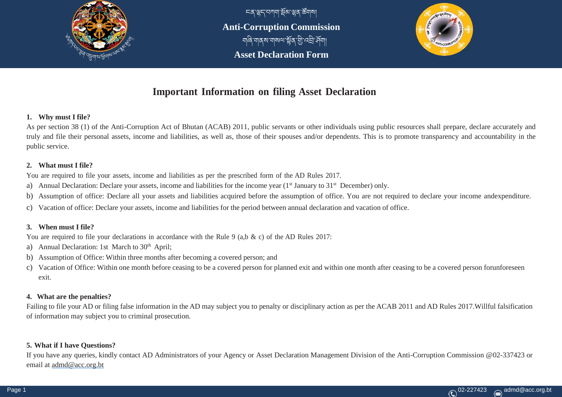

ངན་ལྷད་བཀག་སྡོམ་ལྷན་ཚོགས། **Anti-Corruption Commission** གཞི་གནས་གསལ་སྡོན་གི་འབི་ཤྡོག། **Asset Declaration Form**



# **Important Information on filing Asset Declaration**

#### **1. Why must I file?**

As per section 38 (1) of the Anti-Corruption Act of Bhutan (ACAB) 2011, public servants or other individuals using public resources shall prepare, declare accurately and truly and file their personal assets, income and liabilities, as well as, those of their spouses and/or dependents. This is to promote transparency and accountability in the public service.

#### **2. What must I file?**

You are required to file your assets, income and liabilities as per the prescribed form of the AD Rules 2017.

- a) Annual Declaration: Declare your assets, income and liabilities for the income year (1<sup>st</sup> January to 31<sup>st</sup> December) only.
- b) Assumption of office: Declare all your assets and liabilities acquired before the assumption of office. You are not required to declare your income andexpenditure.
- c) Vacation of office: Declare your assets, income and liabilities for the period between annual declaration and vacation of office.

#### **3. When must I file?**

You are required to file your declarations in accordance with the Rule 9 (a,b & c) of the AD Rules 2017:

- a) Annual Declaration: 1st March to 30<sup>th</sup> April;
- b) Assumption of Office: Within three months after becoming a covered person; and
- c) Vacation of Office: Within one month before ceasing to be a covered person for planned exit and within one month after ceasing to be a covered person forunforeseen exit.

#### **4. What are the penalties?**

Failing to file your AD or filing false information in the AD may subject you to penalty or disciplinary action as per the ACAB 2011 and AD Rules 2017.Willful falsification of information may subject you to criminal prosecution.

## **5. What if I have Questions?**

If you have any queries, kindly contact AD Administrators of your Agency or Asset Declaration Management Division of the Anti-Corruption Commission @02-337423 or email at [admd@acc.org.bt](mailto:admd@acc.org.bt)

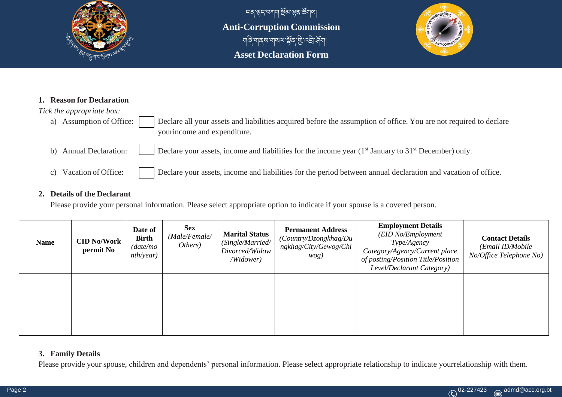

ངན་ལྷད་བཀག་སྡོམ་ལྷན་ཚོགས། **Anti-Corruption Commission** ঘাৰি ঘাৰ ম'যামত্ম'ৰ্শ্লিক আঁত বস্ত্ৰী মুখ্য। **Asset Declaration Form**



#### **1. Reason for Declaration**

#### *Tick the appropriate box:*

a) Assumption of Office: Declare all your assets and liabilities acquired before the assumption of office. You are not required to declare yourincome and expenditure.

- b) Annual Declaration: Declare your assets, income and liabilities for the income year  $(1<sup>st</sup> January to 31<sup>st</sup> December) only.$
- c) Vacation of Office: Declare your assets, income and liabilities for the period between annual declaration and vacation of office.

#### **2. Details of the Declarant**

Please provide your personal information. Please select appropriate option to indicate if your spouse is a covered person.

| <b>Name</b> | <b>CID No/Work</b><br>permit No | Date of<br><b>Birth</b><br>(date/mo<br>nth/year) | <b>Sex</b><br>(Male/Female/<br>Others) | <b>Marital Status</b><br>(Single/Married/<br>Divorced/Widow<br>/Widower) | <b>Permanent Address</b><br>(Country/Dzongkhag/Du<br>ngkhag/City/Gewog/Chi<br>wog) | <b>Employment Details</b><br>(EID No/Employment<br>Type/Agency<br>Category/Agency/Current place<br>of posting/Position Title/Position<br>Level/Declarant Category) | <b>Contact Details</b><br>(Email ID/Mobile<br>No/Office Telephone No) |
|-------------|---------------------------------|--------------------------------------------------|----------------------------------------|--------------------------------------------------------------------------|------------------------------------------------------------------------------------|--------------------------------------------------------------------------------------------------------------------------------------------------------------------|-----------------------------------------------------------------------|
|             |                                 |                                                  |                                        |                                                                          |                                                                                    |                                                                                                                                                                    |                                                                       |

## **3. Family Details**

Please provide your spouse, children and dependents' personal information. Please select appropriate relationship to indicate yourrelationship with them.

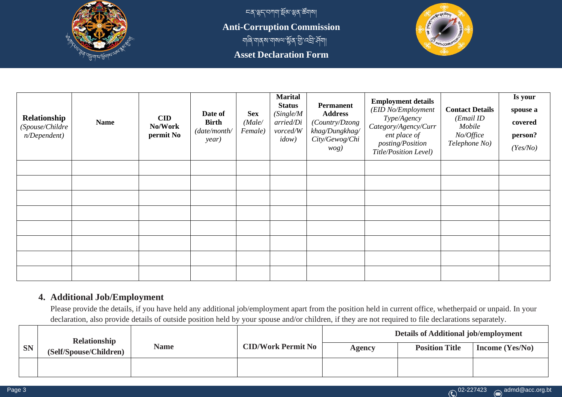

<u>८९ জুন বিভাগ, সূপ স্ক্রিয়াে ব</u> **Anti-Corruption Commission** া আৰু শৰ্মা আৰু অভিযোগ কৰিছে।<br>বিদ্যালয়ৰ বিদ্যালয়ৰ বিদ্যালয়ৰ বিদ্যালয়ৰ বিদ্যালয়ৰ বিদ্যালয়ৰ বিদ্যালয়ৰ বিদ্যালয়ৰ বিদ্যালয়ৰ বিদ্যালয়ৰ **Asset Declaration Form**



| Relationship<br>(Spouse/Childre<br>n/Dependent) | <b>Name</b> | $\mathbf{CID}$<br>No/Work<br>permit No | Date of<br><b>Birth</b><br>(date/month/<br>year) | <b>Sex</b><br>(Male/<br>Female) | <b>Marital</b><br><b>Status</b><br>(Single/M)<br>arried/Di<br>vorced/W<br>idow) | <b>Permanent</b><br><b>Address</b><br>(Country/Dzong<br>khag/Dungkhag/<br>City/Gewog/Chi<br>wog) | <b>Employment details</b><br>(EID No/Employment<br>Type/Agency<br>Category/Agency/Curr<br>ent place of<br>posting/Position<br>Title/Position Level) | <b>Contact Details</b><br>(Email ID<br>Mobile<br>No/Office<br>Telephone No) | Is your<br>spouse a<br>covered<br>person?<br>(Yes/No) |
|-------------------------------------------------|-------------|----------------------------------------|--------------------------------------------------|---------------------------------|---------------------------------------------------------------------------------|--------------------------------------------------------------------------------------------------|-----------------------------------------------------------------------------------------------------------------------------------------------------|-----------------------------------------------------------------------------|-------------------------------------------------------|
|                                                 |             |                                        |                                                  |                                 |                                                                                 |                                                                                                  |                                                                                                                                                     |                                                                             |                                                       |
|                                                 |             |                                        |                                                  |                                 |                                                                                 |                                                                                                  |                                                                                                                                                     |                                                                             |                                                       |
|                                                 |             |                                        |                                                  |                                 |                                                                                 |                                                                                                  |                                                                                                                                                     |                                                                             |                                                       |
|                                                 |             |                                        |                                                  |                                 |                                                                                 |                                                                                                  |                                                                                                                                                     |                                                                             |                                                       |
|                                                 |             |                                        |                                                  |                                 |                                                                                 |                                                                                                  |                                                                                                                                                     |                                                                             |                                                       |
|                                                 |             |                                        |                                                  |                                 |                                                                                 |                                                                                                  |                                                                                                                                                     |                                                                             |                                                       |
|                                                 |             |                                        |                                                  |                                 |                                                                                 |                                                                                                  |                                                                                                                                                     |                                                                             |                                                       |
|                                                 |             |                                        |                                                  |                                 |                                                                                 |                                                                                                  |                                                                                                                                                     |                                                                             |                                                       |

## **4. Additional Job/Employment**

Please provide the details, if you have held any additional job/employment apart from the position held in current office, whetherpaid or unpaid. In your declaration, also provide details of outside position held by your spouse and/or children, if they are not required to file declarations separately.

|           | Relationship           |             |                           |               | <b>Details of Additional job/employment</b> |                   |
|-----------|------------------------|-------------|---------------------------|---------------|---------------------------------------------|-------------------|
| <b>SN</b> | (Self/Spouse/Children) | <b>Name</b> | <b>CID/Work Permit No</b> | <b>Agency</b> | <b>Position Title</b>                       | Income $(Yes/No)$ |
|           |                        |             |                           |               |                                             |                   |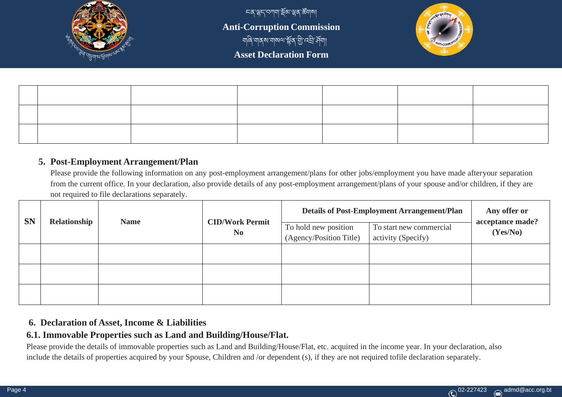

ངན་ལྷད་བཀག་སྡོམ་ལྷན་ཚོགས། **Anti-Corruption Commission** གཞི་གནས་གསལ་སྡོན་གི་འབི་ཤྡོག། **Asset Declaration Form**



## **5. Post-Employment Arrangement/Plan**

Please provide the following information on any post-employment arrangement/plans for other jobs/employment you have made afteryour separation from the current office. In your declaration, also provide details of any post-employment arrangement/plans of your spouse and/or children, if they are not required to file declarations separately.

|           | Relationship | <b>Name</b> |                                          |                                                 | <b>Details of Post-Employment Arrangement/Plan</b> | Any offer or                 |
|-----------|--------------|-------------|------------------------------------------|-------------------------------------------------|----------------------------------------------------|------------------------------|
| <b>SN</b> |              |             | <b>CID/Work Permit</b><br>N <sub>0</sub> | To hold new position<br>(Agency/Position Title) | To start new commercial<br>activity (Specify)      | acceptance made?<br>(Yes/No) |
|           |              |             |                                          |                                                 |                                                    |                              |
|           |              |             |                                          |                                                 |                                                    |                              |
|           |              |             |                                          |                                                 |                                                    |                              |

# **6. Declaration of Asset, Income & Liabilities**

# **6.1. Immovable Properties such as Land and Building/House/Flat.**

Please provide the details of immovable properties such as Land and Building/House/Flat, etc. acquired in the income year. In your declaration, also include the details of properties acquired by your Spouse, Children and /or dependent (s), if they are not required tofile declaration separately.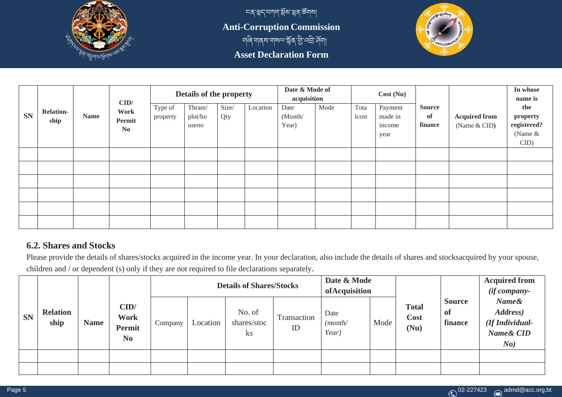

ངན་ལྷད་བཀག་སྡོམ་ལྷན་ཚོགས། **Anti-Corruption Commission** |<br>| यावि'याव वायावाययाः श्लेव 'ग्री'पद्मी, सूचा।| **Asset Declaration Form**



|           |                          |             |                                          |                     | Details of the property    |              |          | Date & Mode of<br>acquisition |      |               | Cost(Nu)                             |                                |                                      | In whose<br>name is                                 |
|-----------|--------------------------|-------------|------------------------------------------|---------------------|----------------------------|--------------|----------|-------------------------------|------|---------------|--------------------------------------|--------------------------------|--------------------------------------|-----------------------------------------------------|
| <b>SN</b> | <b>Relation-</b><br>ship | <b>Name</b> | CID/<br>Work<br>Permit<br>N <sub>0</sub> | Type of<br>property | Thram/<br>plot/ho<br>useno | Size/<br>Qty | Location | Date<br>(Month/<br>Year)      | Mode | Tota<br>lcost | Payment<br>made in<br>income<br>year | <b>Source</b><br>of<br>finance | <b>Acquired from</b><br>(Name & CID) | the<br>property<br>registered?<br>(Name $&$<br>CID) |
|           |                          |             |                                          |                     |                            |              |          |                               |      |               |                                      |                                |                                      |                                                     |
|           |                          |             |                                          |                     |                            |              |          |                               |      |               |                                      |                                |                                      |                                                     |
|           |                          |             |                                          |                     |                            |              |          |                               |      |               |                                      |                                |                                      |                                                     |
|           |                          |             |                                          |                     |                            |              |          |                               |      |               |                                      |                                |                                      |                                                     |
|           |                          |             |                                          |                     |                            |              |          |                               |      |               |                                      |                                |                                      |                                                     |
|           |                          |             |                                          |                     |                            |              |          |                               |      |               |                                      |                                |                                      |                                                     |

# **6.2. Shares and Stocks**

Please provide the details of shares/stocks acquired in the income year. In your declaration, also include the details of shares and stocksacquired by your spouse, children and / or dependent (s) only if they are not required to file declarations separately.

|           |                         |             |                                                        |         |          | <b>Details of Shares/Stocks</b>         |                   | Date & Mode<br>ofAcquisition |      |                              |                                 | <b>Acquired from</b><br>$(if company-)$                  |
|-----------|-------------------------|-------------|--------------------------------------------------------|---------|----------|-----------------------------------------|-------------------|------------------------------|------|------------------------------|---------------------------------|----------------------------------------------------------|
| <b>SN</b> | <b>Relation</b><br>ship | <b>Name</b> | CID/<br><b>Work</b><br><b>Permit</b><br>N <sub>0</sub> | Company | Location | No. of<br>shares/stoc<br>$\mathbf{k}$ s | Transaction<br>ID | Date<br>(month/<br>Year)     | Mode | <b>Total</b><br>Cost<br>(Nu) | <b>Source</b><br>-of<br>finance | Name&<br>Address)<br>(If Individual-<br>Name& CID<br>No) |
|           |                         |             |                                                        |         |          |                                         |                   |                              |      |                              |                                 |                                                          |
|           |                         |             |                                                        |         |          |                                         |                   |                              |      |                              |                                 |                                                          |

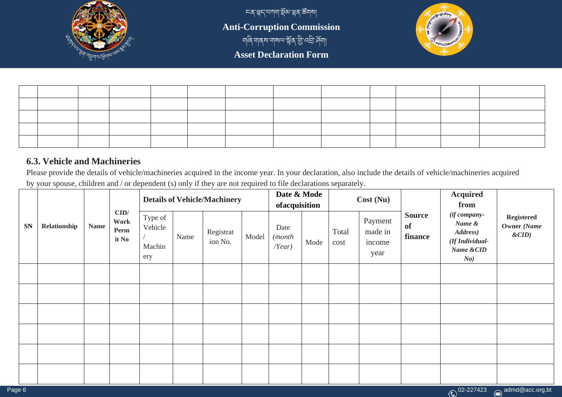

<u>ّ</u> দৰ্,স্লুন্'ব্যশাৰা,স্থিপ্ৰ,স্থিয়াৰা **Anti-Corruption Commission** གཞི་གནས་གསལ་སྡོན་གི་འབི་ཤྡོག། **Asset Declaration Form**



## **6.3. Vehicle and Machineries**

Please provide the details of vehicle/machineries acquired in the income year. In your declaration, also include the details of vehicle/machineries acquired by your spouse, children and / or dependent (s) only if they are not required to file declarations separately.

|           |              |             |                               | <b>Details of Vehicle/Machinery</b> |      |                      |       | Date & Mode<br>ofacquisition      |      |               | Cost(Nu)                             |                                       | <b>Acquired</b><br>from                                                    |                                               |
|-----------|--------------|-------------|-------------------------------|-------------------------------------|------|----------------------|-------|-----------------------------------|------|---------------|--------------------------------------|---------------------------------------|----------------------------------------------------------------------------|-----------------------------------------------|
| <b>SN</b> | Relationship | <b>Name</b> | CID/<br>Work<br>Perm<br>it No | Type of<br>Vehicle<br>Machin<br>ery | Name | Registrat<br>ion No. | Model | Date<br>(month<br>$\Lambda$ Year) | Mode | Total<br>cost | Payment<br>made in<br>income<br>year | <b>Source</b><br><b>of</b><br>finance | (if company-<br>Name &<br>Address)<br>(If Individual-<br>Name & CID<br>No) | <b>Registered</b><br>Owner (Name<br>$\&$ CID) |
|           |              |             |                               |                                     |      |                      |       |                                   |      |               |                                      |                                       |                                                                            |                                               |
|           |              |             |                               |                                     |      |                      |       |                                   |      |               |                                      |                                       |                                                                            |                                               |
|           |              |             |                               |                                     |      |                      |       |                                   |      |               |                                      |                                       |                                                                            |                                               |
|           |              |             |                               |                                     |      |                      |       |                                   |      |               |                                      |                                       |                                                                            |                                               |
|           |              |             |                               |                                     |      |                      |       |                                   |      |               |                                      |                                       |                                                                            |                                               |
|           |              |             |                               |                                     |      |                      |       |                                   |      |               |                                      |                                       |                                                                            |                                               |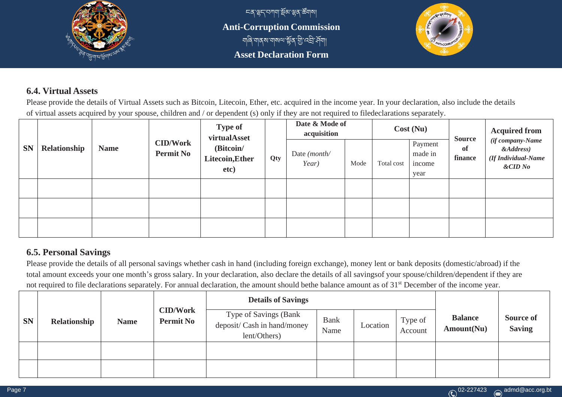

<u>্চৰ্স্</u>ভ্ৰন্সবামাৰ্ছিৰ্স্ভ্ৰম্ভৰ উত্থা **Anti-Corruption Commission** གཞི་གནས་གསལ་སྡོན་གི་འབི་ཤྡོག། **Asset Declaration Form**



# **6.4. Virtual Assets**

Please provide the details of Virtual Assets such as Bitcoin, Litecoin, Ether, etc. acquired in the income year. In your declaration, also include the details of virtual assets acquired by your spouse, children and / or dependent (s) only if they are not required to filedeclarations separately.

|           |              |             | <b>CID/Work</b>  | <b>Type of</b><br>virtualAsset       |     | Date & Mode of<br>acquisition  |      |            | Cost(Nu)                             | <b>Source</b> | <b>Acquired from</b><br>(if company-Name           |
|-----------|--------------|-------------|------------------|--------------------------------------|-----|--------------------------------|------|------------|--------------------------------------|---------------|----------------------------------------------------|
| <b>SN</b> | Relationship | <b>Name</b> | <b>Permit No</b> | (Bitcoin/<br>Litecoin, Ether<br>etc) | Qty | Date ( <i>month</i> /<br>Year) | Mode | Total cost | Payment<br>made in<br>income<br>year | of<br>finance | $\&Address)$<br>(If Individual-Name<br>$\&$ CID No |
|           |              |             |                  |                                      |     |                                |      |            |                                      |               |                                                    |
|           |              |             |                  |                                      |     |                                |      |            |                                      |               |                                                    |
|           |              |             |                  |                                      |     |                                |      |            |                                      |               |                                                    |
|           |              |             |                  |                                      |     |                                |      |            |                                      |               |                                                    |

# **6.5. Personal Savings**

Please provide the details of all personal savings whether cash in hand (including foreign exchange), money lent or bank deposits (domestic/abroad) if the total amount exceeds your one month's gross salary. In your declaration, also declare the details of all savingsof your spouse/children/dependent if they are not required to file declarations separately. For annual declaration, the amount should bethe balance amount as of 31<sup>st</sup> December of the income year.

|           |              |             |                                     | <b>Details of Savings</b>                                            |                     |          |                    |                              |                                   |
|-----------|--------------|-------------|-------------------------------------|----------------------------------------------------------------------|---------------------|----------|--------------------|------------------------------|-----------------------------------|
| <b>SN</b> | Relationship | <b>Name</b> | <b>CID/Work</b><br><b>Permit No</b> | Type of Savings (Bank<br>deposit/ Cash in hand/money<br>lent/Others) | <b>Bank</b><br>Name | Location | Type of<br>Account | <b>Balance</b><br>Amount(Nu) | <b>Source of</b><br><b>Saving</b> |
|           |              |             |                                     |                                                                      |                     |          |                    |                              |                                   |
|           |              |             |                                     |                                                                      |                     |          |                    |                              |                                   |

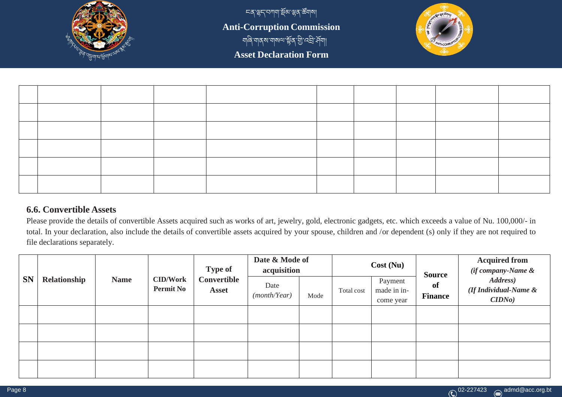

ངན་ལྷད་བཀག་སྡོམ་ལྷན་ཚོགས། **Anti-Corruption Commission** <u>୩</u><br>ବାର୍ ଏ। ଏ। ଏ। ଏ। ଏ। ଏ। ଏ। ଏ। ଏ **Asset Declaration Form**



## **6.6. Convertible Assets**

Please provide the details of convertible Assets acquired such as works of art, jewelry, gold, electronic gadgets, etc. which exceeds a value of Nu. 100,000/- in total. In your declaration, also include the details of convertible assets acquired by your spouse, children and /or dependent (s) only if they are not required to file declarations separately.

| <b>SN</b> | Relationship | <b>Name</b> | <b>CID/Work</b><br><b>Permit No</b> | <b>Type of</b><br>Convertible<br><b>Asset</b> | Date & Mode of<br>acquisition |      | Cost(Nu)   |                                     | <b>Source</b>        | <b>Acquired from</b><br>(if company-Name &  |  |
|-----------|--------------|-------------|-------------------------------------|-----------------------------------------------|-------------------------------|------|------------|-------------------------------------|----------------------|---------------------------------------------|--|
|           |              |             |                                     |                                               | Date<br>(month/Year)          | Mode | Total cost | Payment<br>made in in-<br>come year | of<br><b>Finance</b> | Address)<br>(If Individual-Name &<br>CIDNo) |  |
|           |              |             |                                     |                                               |                               |      |            |                                     |                      |                                             |  |
|           |              |             |                                     |                                               |                               |      |            |                                     |                      |                                             |  |
|           |              |             |                                     |                                               |                               |      |            |                                     |                      |                                             |  |
|           |              |             |                                     |                                               |                               |      |            |                                     |                      |                                             |  |

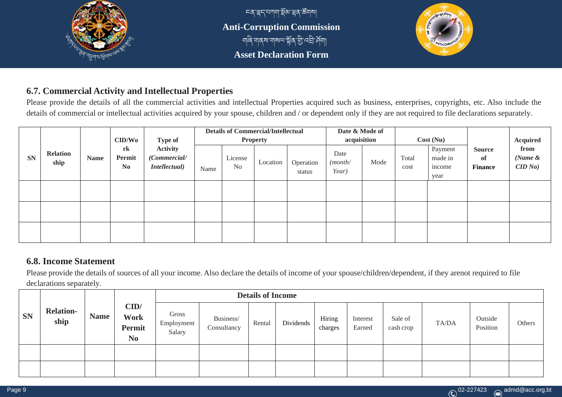

# **6.7. Commercial Activity and Intellectual Properties**

Please provide the details of all the commercial activities and intellectual Properties acquired such as business, enterprises, copyrights, etc. Also include the details of commercial or intellectual activities acquired by your spouse, children and / or dependent only if they are not required to file declarations separately.

|           |                         |             | $\mathbf{CID}/\mathbf{Wo}$     | <b>Type of</b>                                           | <b>Details of Commercial/Intellectual</b><br><b>Property</b> |                           |          | Date & Mode of<br>acquisition |                          | Cost(Nu) |               |                                      | <b>Acquired</b>                       |                               |
|-----------|-------------------------|-------------|--------------------------------|----------------------------------------------------------|--------------------------------------------------------------|---------------------------|----------|-------------------------------|--------------------------|----------|---------------|--------------------------------------|---------------------------------------|-------------------------------|
| <b>SN</b> | <b>Relation</b><br>ship | <b>Name</b> | rk<br>Permit<br>N <sub>0</sub> | <b>Activity</b><br>(Commercial/<br><i>Intellectual</i> ) | Name                                                         | License<br>N <sub>o</sub> | Location | Operation<br>status           | Date<br>(month/<br>Year) | Mode     | Total<br>cost | Payment<br>made in<br>income<br>year | <b>Source</b><br>of<br><b>Finance</b> | from<br>(Name $\&$<br>CID No) |
|           |                         |             |                                |                                                          |                                                              |                           |          |                               |                          |          |               |                                      |                                       |                               |
|           |                         |             |                                |                                                          |                                                              |                           |          |                               |                          |          |               |                                      |                                       |                               |
|           |                         |             |                                |                                                          |                                                              |                           |          |                               |                          |          |               |                                      |                                       |                               |

# **6.8. Income Statement**

Please provide the details of sources of all your income. Also declare the details of income of your spouse/children/dependent, if they arenot required to file declarations separately.

|           |                          |             |                                                 | <b>Details of Income</b>      |                          |        |           |                   |                    |                      |       |                     |        |
|-----------|--------------------------|-------------|-------------------------------------------------|-------------------------------|--------------------------|--------|-----------|-------------------|--------------------|----------------------|-------|---------------------|--------|
| <b>SN</b> | <b>Relation-</b><br>ship | <b>Name</b> | CID/<br><b>Work</b><br>Permit<br>N <sub>0</sub> | Gross<br>Employment<br>Salary | Business/<br>Consultancy | Rental | Dividends | Hiring<br>charges | Interest<br>Earned | Sale of<br>cash crop | TA/DA | Outside<br>Position | Others |
|           |                          |             |                                                 |                               |                          |        |           |                   |                    |                      |       |                     |        |
|           |                          |             |                                                 |                               |                          |        |           |                   |                    |                      |       |                     |        |

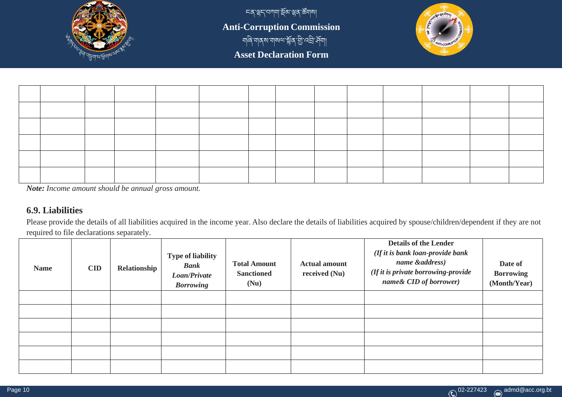

ངན་ལྷད་བཀག་སྡོམ་ལྷན་ཚོགས། **Anti-Corruption Commission** <u>୩</u><br>ବାର୍ ଏ। ଏ। ଏ। ଏ। ଏ। ଏ। ଏ। ଏ। ଏ **Asset Declaration Form**



*Note: Income amount should be annual gross amount.*

## **6.9. Liabilities**

Please provide the details of all liabilities acquired in the income year. Also declare the details of liabilities acquired by spouse/children/dependent if they are not required to file declarations separately.

| <b>Name</b> | <b>CID</b> | Relationship | <b>Type of liability</b><br><b>Bank</b><br>Loan/Private<br><b>Borrowing</b> | <b>Total Amount</b><br><b>Sanctioned</b><br>(Nu) | <b>Actual amount</b><br>received $(Nu)$ | <b>Details of the Lender</b><br>(If it is bank loan-provide bank<br>name & address)<br>(If it is private borrowing-provide<br>name& CID of borrower) | Date of<br><b>Borrowing</b><br>(Month/Year) |
|-------------|------------|--------------|-----------------------------------------------------------------------------|--------------------------------------------------|-----------------------------------------|------------------------------------------------------------------------------------------------------------------------------------------------------|---------------------------------------------|
|             |            |              |                                                                             |                                                  |                                         |                                                                                                                                                      |                                             |
|             |            |              |                                                                             |                                                  |                                         |                                                                                                                                                      |                                             |
|             |            |              |                                                                             |                                                  |                                         |                                                                                                                                                      |                                             |
|             |            |              |                                                                             |                                                  |                                         |                                                                                                                                                      |                                             |
|             |            |              |                                                                             |                                                  |                                         |                                                                                                                                                      |                                             |
|             |            |              |                                                                             |                                                  |                                         |                                                                                                                                                      |                                             |

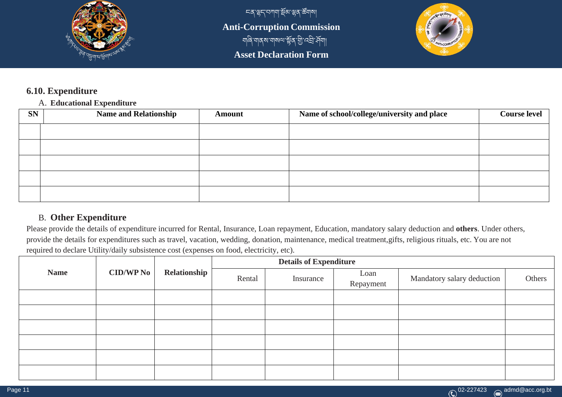

<u>८९ জুন বিভাগ, সূপ স্ক্রিয়াে ব</u> **Anti-Corruption Commission** া আৰু আৰু আৰু আৰু আৰু আৰু **Asset Declaration Form**



# **6.10. Expenditure**

## A. **Educational Expenditure**

| <b>SN</b> | <b>Name and Relationship</b> | <b>Amount</b> | Name of school/college/university and place | <b>Course level</b> |
|-----------|------------------------------|---------------|---------------------------------------------|---------------------|
|           |                              |               |                                             |                     |
|           |                              |               |                                             |                     |
|           |                              |               |                                             |                     |
|           |                              |               |                                             |                     |
|           |                              |               |                                             |                     |

## B. **Other Expenditure**

Please provide the details of expenditure incurred for Rental, Insurance, Loan repayment, Education, mandatory salary deduction and **others**. Under others, provide the details for expenditures such as travel, vacation, wedding, donation, maintenance, medical treatment,gifts, religious rituals, etc. You are not required to declare Utility/daily subsistence cost (expenses on food, electricity, etc).

|             |             | Relationship | <b>Details of Expenditure</b> |           |                   |                            |        |  |  |  |  |
|-------------|-------------|--------------|-------------------------------|-----------|-------------------|----------------------------|--------|--|--|--|--|
| <b>Name</b> | $CID/WP$ No |              | Rental                        | Insurance | Loan<br>Repayment | Mandatory salary deduction | Others |  |  |  |  |
|             |             |              |                               |           |                   |                            |        |  |  |  |  |
|             |             |              |                               |           |                   |                            |        |  |  |  |  |
|             |             |              |                               |           |                   |                            |        |  |  |  |  |
|             |             |              |                               |           |                   |                            |        |  |  |  |  |
|             |             |              |                               |           |                   |                            |        |  |  |  |  |
|             |             |              |                               |           |                   |                            |        |  |  |  |  |